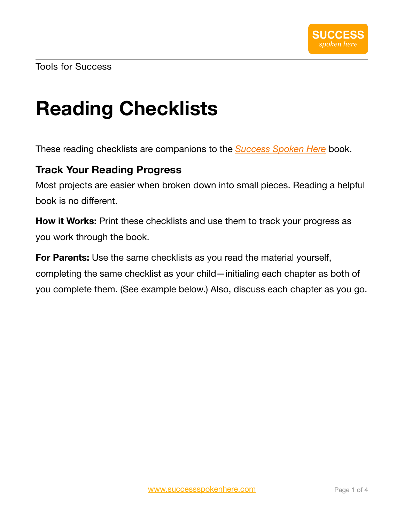# **Reading Checklists**

These reading checklists are companions to the *[Success Spoken Here](https://www.successspokenhere.com/success_spoken_here.html)* book.

#### **Track Your Reading Progress**

Most projects are easier when broken down into small pieces. Reading a helpful book is no different.

**How it Works:** Print these checklists and use them to track your progress as you work through the book.

**For Parents:** Use the same checklists as you read the material yourself, completing the same checklist as your child—initialing each chapter as both of you complete them. (See example below.) Also, discuss each chapter as you go.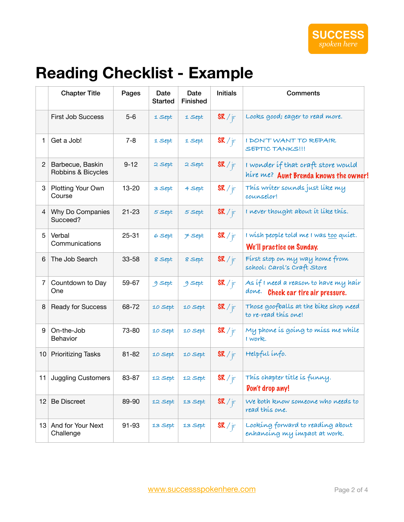### **Reading Checklist - Example**

|                | <b>Chapter Title</b>                   | Pages     | Date<br><b>Started</b> | Date<br><b>Finished</b> | <b>Initials</b> | Comments                                                                       |
|----------------|----------------------------------------|-----------|------------------------|-------------------------|-----------------|--------------------------------------------------------------------------------|
|                | <b>First Job Success</b>               | $5-6$     | 1 Sept                 | 1 Sept                  | SK / fr         | Looks good; eager to read more.                                                |
| $\mathbf{1}$   | Get a Job!                             | $7 - 8$   | 1 Sept                 | 1 Sept                  | SK / fr         | I DON'T WANT TO REPAIR<br>SEPTIC TANKS!!!                                      |
| $\overline{2}$ | Barbecue, Baskin<br>Robbins & Bicycles | $9 - 12$  | 2 Sept                 | 2 Sept                  | SK / fr         | I wonder if that craft store would<br>hire me? Aunt Brenda knows the owner!    |
| 3              | Plotting Your Own<br>Course            | 13-20     | 3 Sept                 | 4 Sept                  | SK / fr         | This writer sounds just like my<br>counselor!                                  |
| $\overline{4}$ | Why Do Companies<br>Succeed?           | $21 - 23$ | 5 Sept                 | 5 Sept                  | SK / fr         | I never thought about it like this.                                            |
| 5              | Verbal<br>Communications               | $25 - 31$ | 6 Sept                 | <b>F</b> Sept           | SK / fr         | I wish people told me I was too quiet.<br>We'll practice on Sunday.            |
| 6              | The Job Search                         | 33-58     | 8 Sept                 | 8 Sept                  | SK / fr         | First stop on my way home from<br>school: Carol's Craft Store                  |
| $\overline{7}$ | Countdown to Day<br>One                | 59-67     | 9 Sept                 | 9 Sept                  | SK / fr         | As if I need a reason to have my hair<br>done.<br>Check car tire air pressure. |
| 8              | Ready for Success                      | 68-72     | 10 Sept                | 10 Sept                 | SK / fr         | Those goofballs at the bike shop need<br>to re-read this one!                  |
| 9              | On-the-Job<br>Behavior                 | 73-80     | 10 Sept                | 10 Sept                 | SK / fr         | My phone is going to miss me while<br>I work.                                  |
| 10             | <b>Prioritizing Tasks</b>              | $81 - 82$ | 10 Sept                | 10 Sept                 | SK / fr         | Helpful info.                                                                  |
|                | 11 Juggling Customers                  | 83-87     | 12 Sept                | 12 Sept                 | SK / fr<br>J    | This chapter title is funny.<br><b><i>Don't drop any!</i></b>                  |
| 12             | <b>Be Discreet</b>                     | 89-90     | 12 Sept                | 13 Sept                 | SK / fr         | We both know someone who needs to<br>read this one.                            |
|                | 13 And for Your Next<br>Challenge      | 91-93     | 13 Sept                | 13 Sept                 | SK / fr         | Looking forward to reading about<br>enhancing my impact at work.               |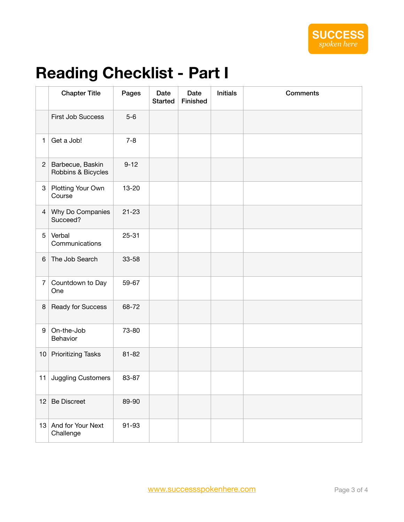## **Reading Checklist - Part I**

|                | <b>Chapter Title</b>                   | Pages     | Date<br><b>Started</b> | Date<br>Finished | <b>Initials</b> | <b>Comments</b> |
|----------------|----------------------------------------|-----------|------------------------|------------------|-----------------|-----------------|
|                | First Job Success                      | $5-6$     |                        |                  |                 |                 |
| 1              | Get a Job!                             | $7 - 8$   |                        |                  |                 |                 |
| $\mathbf{2}$   | Barbecue, Baskin<br>Robbins & Bicycles | $9 - 12$  |                        |                  |                 |                 |
| 3              | Plotting Your Own<br>Course            | 13-20     |                        |                  |                 |                 |
| $\overline{4}$ | Why Do Companies<br>Succeed?           | $21 - 23$ |                        |                  |                 |                 |
| 5              | Verbal<br>Communications               | $25 - 31$ |                        |                  |                 |                 |
| 6              | The Job Search                         | 33-58     |                        |                  |                 |                 |
| $\overline{7}$ | Countdown to Day<br>One                | 59-67     |                        |                  |                 |                 |
| 8              | Ready for Success                      | 68-72     |                        |                  |                 |                 |
| 9              | On-the-Job<br>Behavior                 | 73-80     |                        |                  |                 |                 |
| 10             | <b>Prioritizing Tasks</b>              | $81 - 82$ |                        |                  |                 |                 |
| 11             | <b>Juggling Customers</b>              | 83-87     |                        |                  |                 |                 |
| 12             | <b>Be Discreet</b>                     | 89-90     |                        |                  |                 |                 |
|                | 13 And for Your Next<br>Challenge      | 91-93     |                        |                  |                 |                 |